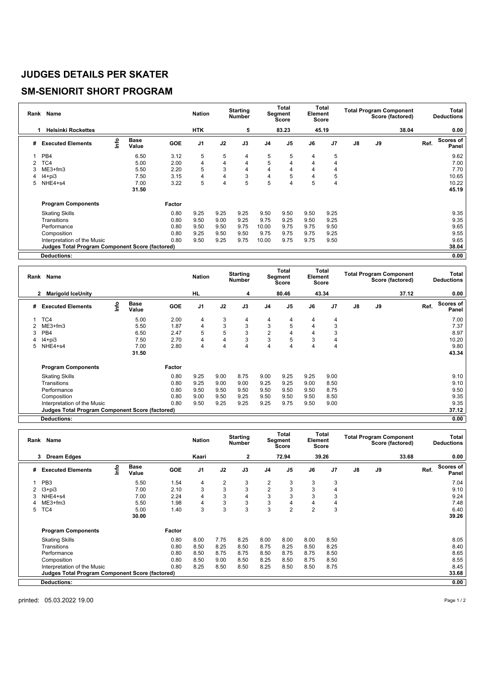## **JUDGES DETAILS PER SKATER**

## **SM-SENIORIT SHORT PROGRAM**

| Rank | Name                                                   | <b>Nation</b> |                      | <b>Starting</b><br><b>Number</b> |                | Total<br>Segment<br><b>Score</b> |      | Total<br>Element<br>Score |                | <b>Total Program Component</b><br>Score (factored) |                |               | Total<br><b>Deductions</b> |       |      |                           |
|------|--------------------------------------------------------|---------------|----------------------|----------------------------------|----------------|----------------------------------|------|---------------------------|----------------|----------------------------------------------------|----------------|---------------|----------------------------|-------|------|---------------------------|
|      | <b>Helsinki Rockettes</b><br>1                         |               |                      |                                  | <b>HTK</b>     |                                  | 5    |                           | 83.23          |                                                    | 45.19          |               |                            | 38.04 |      | 0.00                      |
| #    | <b>Executed Elements</b>                               | lnfo          | <b>Base</b><br>Value | <b>GOE</b>                       | J <sub>1</sub> | J2                               | J3   | J <sub>4</sub>            | J <sub>5</sub> | J6                                                 | J <sub>7</sub> | $\mathsf{J}8$ | J9                         |       | Ref. | <b>Scores of</b><br>Panel |
|      | PB4                                                    |               | 6.50                 | 3.12                             | 5              | 5                                | 4    | 5                         | 5              | 4                                                  | 5              |               |                            |       |      | 9.62                      |
|      | TC4                                                    |               | 5.00                 | 2.00                             | 4              | 4                                | 4    | 5                         | 4              | 4                                                  | 4              |               |                            |       |      | 7.00                      |
| 3    | $ME3+fm3$                                              |               | 5.50                 | 2.20                             | 5              | 3                                | 4    | 4                         | 4              | 4                                                  | 4              |               |                            |       |      | 7.70                      |
| 4    | $I4 + pi3$                                             |               | 7.50                 | 3.15                             | 4              | 4                                | 3    | $\overline{4}$            | 5              | 4                                                  | 5              |               |                            |       |      | 10.65                     |
| 5    | NHE4+s4                                                |               | 7.00                 | 3.22                             | 5              | 4                                | 5    | 5                         | 4              | 5                                                  | 4              |               |                            |       |      | 10.22                     |
|      |                                                        |               | 31.50                |                                  |                |                                  |      |                           |                |                                                    |                |               |                            |       |      | 45.19                     |
|      | <b>Program Components</b>                              |               |                      | Factor                           |                |                                  |      |                           |                |                                                    |                |               |                            |       |      |                           |
|      | <b>Skating Skills</b>                                  |               |                      | 0.80                             | 9.25           | 9.25                             | 9.25 | 9.50                      | 9.50           | 9.50                                               | 9.25           |               |                            |       |      | 9.35                      |
|      | Transitions                                            |               |                      | 0.80                             | 9.50           | 9.00                             | 9.25 | 9.75                      | 9.25           | 9.50                                               | 9.25           |               |                            |       |      | 9.35                      |
|      | Performance                                            |               |                      | 0.80                             | 9.50           | 9.50                             | 9.75 | 10.00                     | 9.75           | 9.75                                               | 9.50           |               |                            |       |      | 9.65                      |
|      | Composition                                            |               |                      | 0.80                             | 9.25           | 9.50                             | 9.50 | 9.75                      | 9.75           | 9.75                                               | 9.25           |               |                            |       |      | 9.55                      |
|      | Interpretation of the Music                            |               |                      | 0.80                             | 9.50           | 9.25                             | 9.75 | 10.00                     | 9.75           | 9.75                                               | 9.50           |               |                            |       |      | 9.65                      |
|      | <b>Judges Total Program Component Score (factored)</b> |               |                      |                                  |                |                                  |      |                           |                |                                                    |                |               |                            |       |      | 38.04                     |
|      | <b>Deductions:</b>                                     |               |                      |                                  |                |                                  |      |                           |                |                                                    |                |               |                            |       |      | 0.00                      |

| Name<br>Rank |                                                 |    |                      | <b>Nation</b> |                | <b>Starting</b><br><b>Number</b> |      | Total<br>Segment<br>Score |                | Total<br>Element<br>Score |                | <b>Total Program Component</b><br>Score (factored) |    |       | Total<br><b>Deductions</b> |                    |
|--------------|-------------------------------------------------|----|----------------------|---------------|----------------|----------------------------------|------|---------------------------|----------------|---------------------------|----------------|----------------------------------------------------|----|-------|----------------------------|--------------------|
|              | <b>Marigold IceUnity</b><br>2                   |    |                      |               | HL             |                                  | 4    |                           | 80.46          |                           | 43.34          |                                                    |    | 37.12 |                            | 0.00               |
| #            | <b>Executed Elements</b>                        | ۴o | <b>Base</b><br>Value | <b>GOE</b>    | J <sub>1</sub> | J2                               | J3   | J4                        | J <sub>5</sub> | J6                        | J <sub>7</sub> | J8                                                 | J9 |       | Ref.                       | Scores of<br>Panel |
|              | TC4                                             |    | 5.00                 | 2.00          | 4              | 3                                | 4    | 4                         | 4              | 4                         | 4              |                                                    |    |       |                            | 7.00               |
|              | $ME3+fm3$                                       |    | 5.50                 | 1.87          | 4              | 3                                | 3    | 3                         | 5              | 4                         | 3              |                                                    |    |       |                            | 7.37               |
| 3            | PB4                                             |    | 6.50                 | 2.47          | 5              | 5                                | 3    | $\overline{2}$            | 4              | 4                         | 3              |                                                    |    |       |                            | 8.97               |
|              | $I4 + pi3$                                      |    | 7.50                 | 2.70          | 4              | 4                                | 3    | 3                         | 5              | 3                         | 4              |                                                    |    |       |                            | 10.20              |
|              | NHE4+s4                                         |    | 7.00                 | 2.80          | 4              | 4                                | 4    | 4                         | 4              | 4                         | 4              |                                                    |    |       |                            | 9.80               |
|              |                                                 |    | 31.50                |               |                |                                  |      |                           |                |                           |                |                                                    |    |       |                            | 43.34              |
|              | <b>Program Components</b>                       |    |                      | Factor        |                |                                  |      |                           |                |                           |                |                                                    |    |       |                            |                    |
|              | <b>Skating Skills</b>                           |    |                      | 0.80          | 9.25           | 9.00                             | 8.75 | 9.00                      | 9.25           | 9.25                      | 9.00           |                                                    |    |       |                            | 9.10               |
|              | Transitions                                     |    |                      | 0.80          | 9.25           | 9.00                             | 9.00 | 9.25                      | 9.25           | 9.00                      | 8.50           |                                                    |    |       |                            | 9.10               |
|              | Performance                                     |    |                      | 0.80          | 9.50           | 9.50                             | 9.50 | 9.50                      | 9.50           | 9.50                      | 8.75           |                                                    |    |       |                            | 9.50               |
|              | Composition                                     |    |                      | 0.80          | 9.00           | 9.50                             | 9.25 | 9.50                      | 9.50           | 9.50                      | 8.50           |                                                    |    |       |                            | 9.35               |
|              | Interpretation of the Music                     |    |                      | 0.80          | 9.50           | 9.25                             | 9.25 | 9.25                      | 9.75           | 9.50                      | 9.00           |                                                    |    |       |                            | 9.35               |
|              | Judges Total Program Component Score (factored) |    |                      |               |                |                                  |      |                           |                |                           |                |                                                    |    |       |                            | 37.12              |
|              | Deductions:                                     |    |                      |               |                |                                  |      |                           |                |                           |                |                                                    |    |       |                            | 0.00               |

| Rank | Name                                            |      |                      |        | <b>Nation</b>  | <b>Starting</b><br><b>Number</b> |              | <b>Total</b><br>Segment<br><b>Score</b> |                | Total<br>Element<br>Score |       | <b>Total Program Component</b><br>Score (factored) |       |      | Total<br><b>Deductions</b> |  |
|------|-------------------------------------------------|------|----------------------|--------|----------------|----------------------------------|--------------|-----------------------------------------|----------------|---------------------------|-------|----------------------------------------------------|-------|------|----------------------------|--|
|      | <b>Dream Edges</b><br>3                         |      |                      |        | Kaari          |                                  | $\mathbf{2}$ |                                         | 72.94          |                           | 39.26 |                                                    | 33.68 |      | 0.00                       |  |
| #    | <b>Executed Elements</b>                        | Info | <b>Base</b><br>Value | GOE    | J <sub>1</sub> | J2                               | J3           | J <sub>4</sub>                          | J <sub>5</sub> | J6                        | J7    | J8                                                 | J9    | Ref. | <b>Scores of</b><br>Panel  |  |
|      | PB <sub>3</sub>                                 |      | 5.50                 | 1.54   | 4              | 2                                | 3            | 2                                       | 3              | 3                         | 3     |                                                    |       |      | 7.04                       |  |
|      | $13 + pi3$                                      |      | 7.00                 | 2.10   | 3              | 3                                | 3            | 2                                       | 3              | 3                         | 4     |                                                    |       |      | 9.10                       |  |
|      | NHE4+s4                                         |      | 7.00                 | 2.24   | 4              | 3                                | 4            | 3                                       | 3              | 3                         | 3     |                                                    |       |      | 9.24                       |  |
|      | $ME3+fm3$                                       |      | 5.50                 | 1.98   | 4              | 3                                | 3            | 3                                       | 4              |                           | 4     |                                                    |       |      | 7.48                       |  |
| 5    | TC4                                             |      | 5.00<br>30.00        | 1.40   | 3              | 3                                | 3            | 3                                       | $\overline{2}$ | $\overline{2}$            | 3     |                                                    |       |      | 6.40<br>39.26              |  |
|      | <b>Program Components</b>                       |      |                      | Factor |                |                                  |              |                                         |                |                           |       |                                                    |       |      |                            |  |
|      | <b>Skating Skills</b>                           |      |                      | 0.80   | 8.00           | 7.75                             | 8.25         | 8.00                                    | 8.00           | 8.00                      | 8.50  |                                                    |       |      | 8.05                       |  |
|      | Transitions                                     |      |                      | 0.80   | 8.50           | 8.25                             | 8.50         | 8.75                                    | 8.25           | 8.50                      | 8.25  |                                                    |       |      | 8.40                       |  |
|      | Performance                                     |      |                      | 0.80   | 8.50           | 8.75                             | 8.75         | 8.50                                    | 8.75           | 8.75                      | 8.50  |                                                    |       |      | 8.65                       |  |
|      | Composition                                     |      |                      | 0.80   | 8.50           | 9.00                             | 8.50         | 8.25                                    | 8.50           | 8.75                      | 8.50  |                                                    |       |      | 8.55                       |  |
|      | Interpretation of the Music                     |      |                      | 0.80   | 8.25           | 8.50                             | 8.50         | 8.25                                    | 8.50           | 8.50                      | 8.75  |                                                    |       |      | 8.45                       |  |
|      | Judges Total Program Component Score (factored) |      |                      |        |                |                                  |              |                                         |                |                           |       |                                                    |       |      | 33.68                      |  |
|      | <b>Deductions:</b>                              |      |                      |        |                |                                  |              |                                         |                |                           |       |                                                    |       |      | 0.00                       |  |

printed: 05.03.2022 19.00